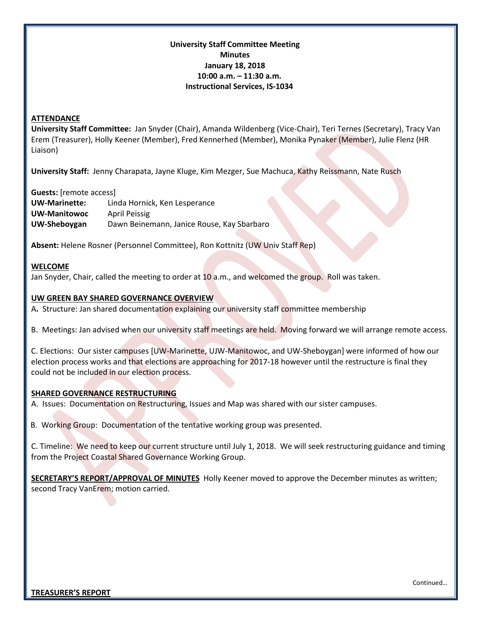## **University Staff Committee Meeting Minutes January 18, 2018 10:00 a.m. – 11:30 a.m. Instructional Services, IS-1034**

#### **ATTENDANCE**

**University Staff Committee:** Jan Snyder (Chair), Amanda Wildenberg (Vice-Chair), Teri Ternes (Secretary), Tracy Van Erem (Treasurer), Holly Keener (Member), Fred Kennerhed (Member), Monika Pynaker (Member), Julie Flenz (HR Liaison)

**University Staff:** Jenny Charapata, Jayne Kluge, Kim Mezger, Sue Machuca, Kathy Reissmann, Nate Rusch

**Guests:** [remote access]

**UW-Marinette:** Linda Hornick, Ken Lesperance **UW-Manitowoc** April Peissig **UW-Sheboygan** Dawn Beinemann, Janice Rouse, Kay Sbarbaro

**Absent:** Helene Rosner (Personnel Committee), Ron Kottnitz (UW Univ Staff Rep)

#### **WELCOME**

Jan Snyder, Chair, called the meeting to order at 10 a.m., and welcomed the group. Roll was taken.

#### **UW GREEN BAY SHARED GOVERNANCE OVERVIEW**

A**.** Structure: Jan shared documentation explaining our university staff committee membership

B. Meetings: Jan advised when our university staff meetings are held. Moving forward we will arrange remote access.

C. Elections: Our sister campuses [UW-Marinette, UJW-Manitowoc, and UW-Sheboygan] were informed of how our election process works and that elections are approaching for 2017-18 however until the restructure is final they could not be included in our election process.

#### **SHARED GOVERNANCE RESTRUCTURING**

A. Issues: Documentation on Restructuring, Issues and Map was shared with our sister campuses.

B. Working Group: Documentation of the tentative working group was presented.

C. Timeline: We need to keep our current structure until July 1, 2018. We will seek restructuring guidance and timing from the Project Coastal Shared Governance Working Group.

**SECRETARY'S REPORT/APPROVAL OF MINUTES** Holly Keener moved to approve the December minutes as written; second Tracy VanErem; motion carried.

Continued…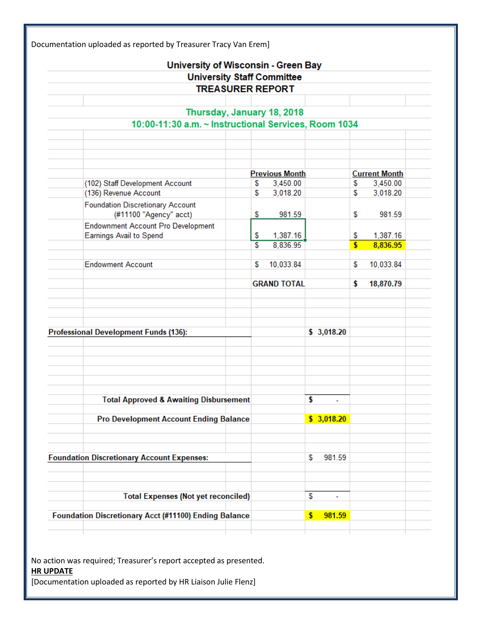|                                                                             |    | University of Wisconsin - Green Bay |    |            |                      |           |
|-----------------------------------------------------------------------------|----|-------------------------------------|----|------------|----------------------|-----------|
| <b>University Staff Committee</b>                                           |    |                                     |    |            |                      |           |
| <b>TREASURER REPORT</b>                                                     |    |                                     |    |            |                      |           |
|                                                                             |    |                                     |    |            |                      |           |
| Thursday, January 18, 2018                                                  |    |                                     |    |            |                      |           |
| 10:00-11:30 a.m. ~ Instructional Services, Room 1034                        |    |                                     |    |            |                      |           |
|                                                                             |    |                                     |    |            |                      |           |
|                                                                             |    |                                     |    |            |                      |           |
|                                                                             |    |                                     |    |            |                      |           |
|                                                                             |    | <b>Previous Month</b>               |    |            | <b>Current Month</b> |           |
| (102) Staff Development Account                                             | S  | 3,450.00                            |    |            | \$                   | 3,450.00  |
| (136) Revenue Account                                                       | \$ | 3,018.20                            |    |            | S                    | 3,018.20  |
| <b>Foundation Discretionary Account</b>                                     |    |                                     |    |            |                      |           |
| (#11100 "Agency" acct)                                                      | \$ | 981.59                              |    |            | \$                   | 981.59    |
| <b>Endownment Account Pro Development</b><br><b>Earnings Avail to Spend</b> | \$ | 1,387.16                            |    |            | \$                   | 1,387.16  |
|                                                                             | S  | 8,836.95                            |    |            | \$                   | 8,836.95  |
|                                                                             |    |                                     |    |            |                      |           |
| <b>Endowment Account</b>                                                    | S  | 10,033.84                           |    |            | S                    | 10,033.84 |
|                                                                             |    |                                     |    |            |                      |           |
|                                                                             |    | <b>GRAND TOTAL</b>                  |    |            | \$                   | 18,870.79 |
|                                                                             |    |                                     |    |            |                      |           |
|                                                                             |    |                                     |    |            |                      |           |
|                                                                             |    |                                     |    |            |                      |           |
| <b>Professional Development Funds (136):</b>                                |    |                                     |    | \$3,018.20 |                      |           |
|                                                                             |    |                                     |    |            |                      |           |
|                                                                             |    |                                     |    |            |                      |           |
|                                                                             |    |                                     |    |            |                      |           |
|                                                                             |    |                                     |    |            |                      |           |
|                                                                             |    |                                     |    |            |                      |           |
| <b>Total Approved &amp; Awaiting Disbursement</b>                           |    |                                     | \$ |            |                      |           |
|                                                                             |    |                                     |    |            |                      |           |
| <b>Pro Development Account Ending Balance</b>                               |    |                                     |    | \$3,018.20 |                      |           |
|                                                                             |    |                                     |    |            |                      |           |
|                                                                             |    |                                     |    |            |                      |           |
| <b>Foundation Discretionary Account Expenses:</b>                           |    |                                     | \$ | 981.59     |                      |           |
|                                                                             |    |                                     |    |            |                      |           |
|                                                                             |    |                                     |    |            |                      |           |
| <b>Total Expenses (Not yet reconciled)</b>                                  |    |                                     | \$ | ۰          |                      |           |
|                                                                             |    |                                     |    |            |                      |           |
| Foundation Discretionary Acct (#11100) Ending Balance                       |    |                                     | \$ | 981.59     |                      |           |
|                                                                             |    |                                     |    |            |                      |           |

No action was required; Treasurer's report accepted as presented. **HR UPDATE** [Documentation uploaded as reported by HR Liaison Julie Flenz]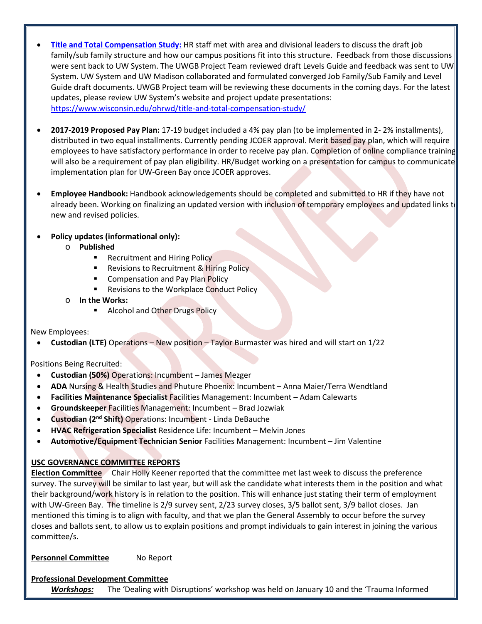- **[Title and Total Compensation Study:](https://www.wisconsin.edu/ohrwd/title-and-total-compensation-study/)** HR staff met with area and divisional leaders to discuss the draft job family/sub family structure and how our campus positions fit into this structure. Feedback from those discussions were sent back to UW System. The UWGB Project Team reviewed draft Levels Guide and feedback was sent to UW System. UW System and UW Madison collaborated and formulated converged Job Family/Sub Family and Level Guide draft documents. UWGB Project team will be reviewing these documents in the coming days. For the latest updates, please review UW System's website and project update presentations: <https://www.wisconsin.edu/ohrwd/title-and-total-compensation-study/>
- **2017-2019 Proposed Pay Plan:** 17-19 budget included a 4% pay plan (to be implemented in 2- 2% installments), distributed in two equal installments. Currently pending JCOER approval. Merit based pay plan, which will require employees to have satisfactory performance in order to receive pay plan. Completion of online compliance training will also be a requirement of pay plan eligibility. HR/Budget working on a presentation for campus to communicate implementation plan for UW-Green Bay once JCOER approves.
- **Employee Handbook:** Handbook acknowledgements should be completed and submitted to HR if they have not already been. Working on finalizing an updated version with inclusion of temporary employees and updated links t new and revised policies.

# • **Policy updates (informational only):**

- o **Published**
	- Recruitment and Hiring Policy
	- Revisions to Recruitment & Hiring Policy
	- **EXECOMPERDIATION COMPOSE** Compensation and Pay Plan Policy
	- Revisions to the Workplace Conduct Policy
- o **In the Works:**
	- **Alcohol and Other Drugs Policy**

### New Employees:

• **Custodian (LTE)** Operations – New position – Taylor Burmaster was hired and will start on 1/22

### Positions Being Recruited:

- **Custodian (50%)** Operations: Incumbent James Mezger
- **ADA** Nursing & Health Studies and Phuture Phoenix: Incumbent Anna Maier/Terra Wendtland
- **Facilities Maintenance Specialist** Facilities Management: Incumbent Adam Calewarts
- **Groundskeeper** Facilities Management: Incumbent Brad Jozwiak
- **Custodian (2nd Shift)** Operations: Incumbent Linda DeBauche
- **HVAC Refrigeration Specialist** Residence Life: Incumbent Melvin Jones
- **Automotive/Equipment Technician Senior** Facilities Management: Incumbent Jim Valentine

# **USC GOVERNANCE COMMITTEE REPORTS**

**Election Committee** Chair Holly Keener reported that the committee met last week to discuss the preference survey. The survey will be similar to last year, but will ask the candidate what interests them in the position and what their background/work history is in relation to the position. This will enhance just stating their term of employment with UW-Green Bay. The timeline is 2/9 survey sent, 2/23 survey closes, 3/5 ballot sent, 3/9 ballot closes. Jan mentioned this timing is to align with faculty, and that we plan the General Assembly to occur before the survey closes and ballots sent, to allow us to explain positions and prompt individuals to gain interest in joining the various committee/s.

**Personnel Committee** No Report

### **Professional Development Committee**

*Workshops:*The 'Dealing with Disruptions' workshop was held on January 10 and the 'Trauma Informed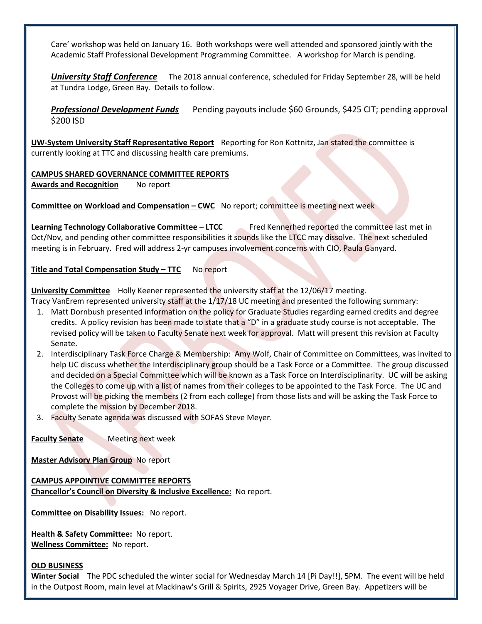Care' workshop was held on January 16. Both workshops were well attended and sponsored jointly with the Academic Staff Professional Development Programming Committee. A workshop for March is pending.

*University Staff Conference* The 2018 annual conference, scheduled for Friday September 28, will be held at Tundra Lodge, Green Bay. Details to follow.

**Professional Development Funds** Pending payouts include \$60 Grounds, \$425 CIT; pending approval \$200 ISD

**UW-System University Staff Representative Report** Reporting for Ron Kottnitz, Jan stated the committee is currently looking at TTC and discussing health care premiums.

**CAMPUS SHARED GOVERNANCE COMMITTEE REPORTS Awards and Recognition** No report

**Committee on Workload and Compensation – CWC** No report; committee is meeting next week

**Learning Technology Collaborative Committee – LTCC** Fred Kennerhed reported the committee last met in Oct/Nov, and pending other committee responsibilities it sounds like the LTCC may dissolve. The next scheduled meeting is in February. Fred will address 2-yr campuses involvement concerns with CIO, Paula Ganyard.

**Title and Total Compensation Study – TTC** No report

**University Committee** Holly Keener represented the university staff at the 12/06/17 meeting.

Tracy VanErem represented university staff at the 1/17/18 UC meeting and presented the following summary:

- 1. Matt Dornbush presented information on the policy for Graduate Studies regarding earned credits and degree credits. A policy revision has been made to state that a "D" in a graduate study course is not acceptable. The revised policy will be taken to Faculty Senate next week for approval. Matt will present this revision at Faculty Senate.
- 2. Interdisciplinary Task Force Charge & Membership: Amy Wolf, Chair of Committee on Committees, was invited to help UC discuss whether the Interdisciplinary group should be a Task Force or a Committee. The group discussed and decided on a Special Committee which will be known as a Task Force on Interdisciplinarity. UC will be asking the Colleges to come up with a list of names from their colleges to be appointed to the Task Force. The UC and Provost will be picking the members (2 from each college) from those lists and will be asking the Task Force to complete the mission by December 2018.
- 3. Faculty Senate agenda was discussed with SOFAS Steve Meyer.

**Faculty Senate** Meeting next week

**Master Advisory Plan Group** No report

**CAMPUS APPOINTIVE COMMITTEE REPORTS Chancellor's Council on Diversity & Inclusive Excellence:** No report.

**Committee on Disability Issues:** No report.

**Health & Safety Committee:** No report. **Wellness Committee:** No report.

#### **OLD BUSINESS**

**Winter Social** The PDC scheduled the winter social for Wednesday March 14 [Pi Day!!], 5PM. The event will be held in the Outpost Room, main level at Mackinaw's Grill & Spirits, 2925 Voyager Drive, Green Bay. Appetizers will be